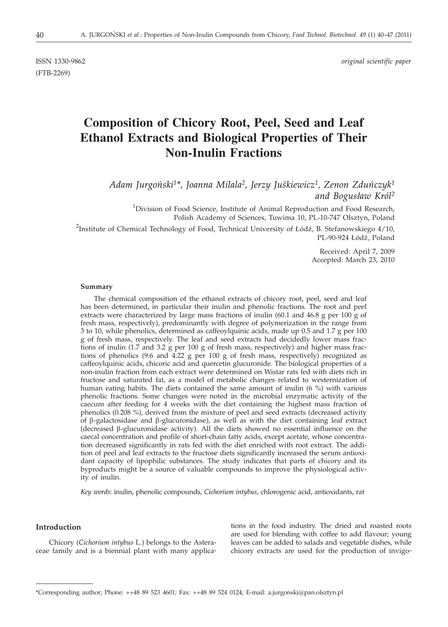ISSN 1330-9862 *original scientific paper*

(FTB-2269)

# **Composition of Chicory Root, Peel, Seed and Leaf Ethanol Extracts and Biological Properties of Their Non-Inulin Fractions**

*Adam Jurgonbski1\*, Joanna Milala2, Jerzy Jusbkiewicz1, Zenon Zdunbczyk1 and Bogus³aw Król2*

<sup>1</sup>Division of Food Science, Institute of Animal Reproduction and Food Research, Polish Academy of Sciences, Tuwima 10, PL-10-747 Olsztyn, Poland <sup>1</sup>Division of Food Science, Institute of Animal Reproduction and Food Research,<br>Polish Academy of Sciences, Tuwima 10, PL-10-747 Olsztyn, Poland<br><sup>2</sup>Institute of Chemical Technology of Food, Technical University of Łódź, B

-10-747 Olsztyn, Poland<br>-10-747 Olsztyn, Poland<br>B. Stefanowskiego 4/10,<br>PL-90-924 Łódź, Poland

Received: April 7, 2009 Accepted: March 23, 2010

#### **Summary**

The chemical composition of the ethanol extracts of chicory root, peel, seed and leaf has been determined, in particular their inulin and phenolic fractions. The root and peel extracts were characterized by large mass fractions of inulin (60.1 and 46.8 g per 100 g of fresh mass, respectively), predominantly with degree of polymerization in the range from 3 to 10, while phenolics, determined as caffeoylquinic acids, made up 0.5 and 1.7 g per 100 g of fresh mass, respectively. The leaf and seed extracts had decidedly lower mass fractions of inulin (1.7 and 3.2 g per 100 g of fresh mass, respectively) and higher mass fractions of phenolics (9.6 and 4.22 g per 100 g of fresh mass, respectively) recognized as caffeoylquinic acids, chicoric acid and quercetin glucuronide. The biological properties of a non-inulin fraction from each extract were determined on Wistar rats fed with diets rich in fructose and saturated fat, as a model of metabolic changes related to westernization of human eating habits. The diets contained the same amount of inulin (6 %) with various phenolic fractions. Some changes were noted in the microbial enzymatic activity of the caecum after feeding for 4 weeks with the diet containing the highest mass fraction of phenolics (0.208 %), derived from the mixture of peel and seed extracts (decreased activity of  $\beta$ -galactosidase and  $\beta$ -glucuronidase), as well as with the diet containing leaf extract (decreased  $\beta$ -glucuronidase activity). All the diets showed no essential influence on the caecal concentration and profile of short-chain fatty acids, except acetate, whose concentration decreased significantly in rats fed with the diet enriched with root extract. The addition of peel and leaf extracts to the fructose diets significantly increased the serum antioxidant capacity of lipophilic substances. The study indicates that parts of chicory and its byproducts might be a source of valuable compounds to improve the physiological activity of inulin.

*Key words*: inulin, phenolic compounds, *Cichorium intybus*, chlorogenic acid, antioxidants, rat

# **Introduction**

Chicory (*Cichorium intybus* L.) belongs to the Asteraceae family and is a biennial plant with many applica-

tions in the food industry. The dried and roasted roots are used for blending with coffee to add flavour; young leaves can be added to salads and vegetable dishes, while chicory extracts are used for the production of invigo-

<sup>\*</sup>Corresponding author; Phone: ++48 89 523 4601; Fax: ++48 89 524 0124; E-mail: a.jurgonski@pan.olsztyn.pl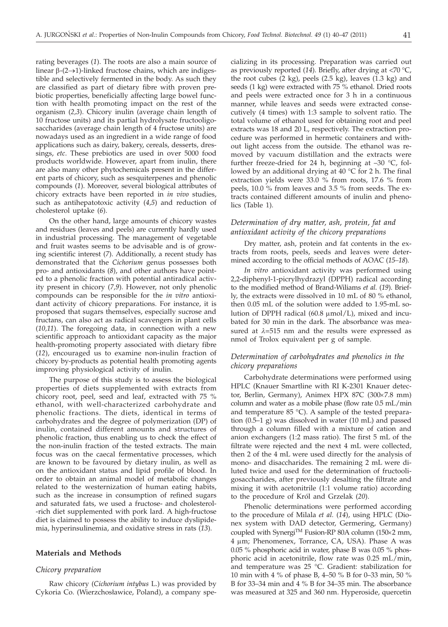rating beverages (*1*). The roots are also a main source of linear  $\beta$ -(2 $\rightarrow$ 1)-linked fructose chains, which are indigestible and selectively fermented in the body. As such they are classified as part of dietary fibre with proven prebiotic properties, beneficially affecting large bowel function with health promoting impact on the rest of the organism (*2,3*). Chicory inulin (average chain length of 10 fructose units) and its partial hydrolysate fructooligosaccharides (average chain length of 4 fructose units) are nowadays used as an ingredient in a wide range of food applications such as dairy, bakery, cereals, desserts, dressings, *etc*. These prebiotics are used in over 5000 food products worldwide. However, apart from inulin, there are also many other phytochemicals present in the different parts of chicory, such as sesquiterpenes and phenolic compounds (*1*). Moreover, several biological attributes of chicory extracts have been reported in *in vivo* studies, such as antihepatotoxic activity (*4,5*) and reduction of cholesterol uptake (*6*).

On the other hand, large amounts of chicory wastes and residues (leaves and peels) are currently hardly used in industrial processing. The management of vegetable and fruit wastes seems to be advisable and is of growing scientific interest (*7*). Additionally, a recent study has demonstrated that the *Cichorium* genus possesses both pro- and antioxidants (*8*), and other authors have pointed to a phenolic fraction with potential antiradical activity present in chicory (*7,9*). However, not only phenolic compounds can be responsible for the *in vitro* antioxidant activity of chicory preparations. For instance, it is proposed that sugars themselves, especially sucrose and fructans, can also act as radical scavengers in plant cells (*10,11*). The foregoing data, in connection with a new scientific approach to antioxidant capacity as the major health-promoting property associated with dietary fibre (*12*), encouraged us to examine non-inulin fraction of chicory by-products as potential health promoting agents improving physiological activity of inulin.

The purpose of this study is to assess the biological properties of diets supplemented with extracts from chicory root, peel, seed and leaf, extracted with 75 % ethanol, with well-characterized carbohydrate and phenolic fractions. The diets, identical in terms of carbohydrates and the degree of polymerization (DP) of inulin, contained different amounts and structures of phenolic fraction, thus enabling us to check the effect of the non-inulin fraction of the tested extracts. The main focus was on the caecal fermentative processes, which are known to be favoured by dietary inulin, as well as on the antioxidant status and lipid profile of blood. In order to obtain an animal model of metabolic changes related to the westernization of human eating habits, such as the increase in consumption of refined sugars and saturated fats, we used a fructose- and cholesterol- -rich diet supplemented with pork lard. A high-fructose diet is claimed to possess the ability to induce dyslipidemia, hyperinsulinemia, and oxidative stress in rats (*13*).

## **Materials and Methods**

## *Chicory preparation*

Raw chicory (*Cichorium intybus* L.) was provided by Cykoria Co. (Wierzchosławice, Poland), a company spe-

cializing in its processing. Preparation was carried out as previously reported (*14*). Briefly, after drying at <70 °C, the root cubes (2 kg), peels (2.5 kg), leaves (1.3 kg) and seeds (1 kg) were extracted with 75 % ethanol. Dried roots and peels were extracted once for 3 h in a continuous manner, while leaves and seeds were extracted consecutively (4 times) with 1:3 sample to solvent ratio. The total volume of ethanol used for obtaining root and peel extracts was 18 and 20 L, respectively. The extraction procedure was performed in hermetic containers and without light access from the outside. The ethanol was removed by vacuum distillation and the extracts were further freeze-dried for 24 h, beginning at –30 °C, followed by an additional drying at 40 °C for 2 h. The final extraction yields were 33.0 % from roots, 17.6 % from peels, 10.0 % from leaves and 3.5 % from seeds. The extracts contained different amounts of inulin and phenolics (Table 1).

# *Determination of dry matter, ash, protein, fat and antioxidant activity of the chicory preparations*

Dry matter, ash, protein and fat contents in the extracts from roots, peels, seeds and leaves were determined according to the official methods of AOAC (*15–18*).

*In vitro* antioxidant activity was performed using 2,2-diphenyl-1-picrylhydrazyl (DPPH) radical according to the modified method of Brand-Wiliams *et al.* (*19*). Briefly, the extracts were dissolved in 10 mL of 80 % ethanol, then 0.05 mL of the solution were added to 1.95-mL solution of DPPH radical  $(60.8 \mu \text{mol/L})$ , mixed and incubated for 30 min in the dark. The absorbance was measured at  $\lambda$ =515 nm and the results were expressed as nmol of Trolox equivalent per g of sample.

# *Determination of carbohydrates and phenolics in the chicory preparations*

Carbohydrate determinations were performed using HPLC (Knauer Smartline with RI K-2301 Knauer detector, Berlin, Germany), Animex HPX 87C (300×7.8 mm) column and water as a mobile phase (flow rate 0.5 mL/min and temperature 85 °C). A sample of the tested preparation (0.5–1 g) was dissolved in water (10 mL) and passed through a column filled with a mixture of cation and anion exchangers (1:2 mass ratio). The first 5 mL of the filtrate were rejected and the next 4 mL were collected, then 2 of the 4 mL were used directly for the analysis of mono- and disaccharides. The remaining 2 mL were diluted twice and used for the determination of fructooligosaccharides, after previously desalting the filtrate and mixing it with acetonitrile (1:1 volume ratio) according to the procedure of Król and Grzelak (*20*).

Phenolic determinations were performed according to the procedure of Milala *et al.* (*14*), using HPLC (Dionex system with DAD detector, Germering, Germany) coupled with Synergi<sup>TM</sup> Fusion-RP 80A column (150 $\times$ 2 mm, 4 um; Phenomenex, Torrance, CA, USA). Phase A was 0.05 % phosphoric acid in water, phase B was 0.05 % phosphoric acid in acetonitrile, flow rate was 0.25 mL/min, and temperature was 25 °C. Gradient: stabilization for 10 min with 4 % of phase B, 4–50 % B for 0–33 min, 50 % B for 33–34 min and 4 % B for 34–35 min. The absorbance was measured at 325 and 360 nm. Hyperoside, quercetin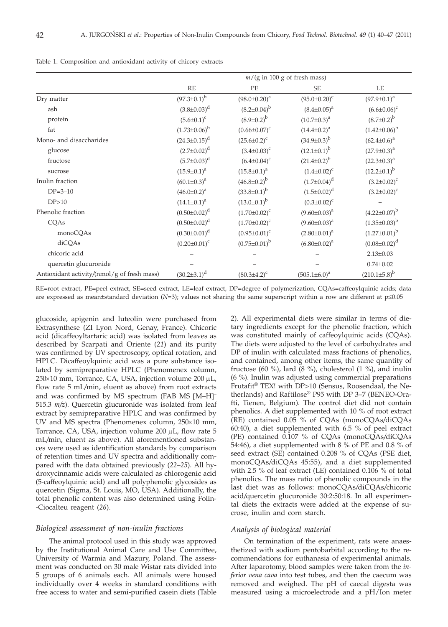|  |  | Table 1. Composition and antioxidant activity of chicory extracts |  |  |  |
|--|--|-------------------------------------------------------------------|--|--|--|
|  |  |                                                                   |  |  |  |

|                                             | $m/(g \text{ in } 100 \text{ g of fresh mass})$ |                      |                      |                       |  |
|---------------------------------------------|-------------------------------------------------|----------------------|----------------------|-----------------------|--|
|                                             | <b>RE</b>                                       | PE                   | <b>SE</b>            | LE                    |  |
| Dry matter                                  | $(97.3 \pm 0.1)^b$                              | $(98.0 \pm 0.20)^a$  | $(95.0 \pm 0.20)^c$  | $(97.9 \pm 0.1)^a$    |  |
| ash                                         | $(3.8\pm0.03)^d$                                | $(8.2 \pm 0.04)^{b}$ | $(8.4 \pm 0.05)^{a}$ | $(6.6 \pm 0.06)^c$    |  |
| protein                                     | $(5.6 \pm 0.1)^c$                               | $(8.9 \pm 0.2)^{b}$  | $(10.7 \pm 0.3)^a$   | $(8.7 \pm 0.2)^{b}$   |  |
| fat                                         | $(1.73 \pm 0.06)^{b}$                           | $(0.66 \pm 0.07)^c$  | $(14.4 \pm 0.2)^a$   | $(1.42\pm0.06)^{b}$   |  |
| Mono- and disaccharides                     | $(24.3 \pm 0.15)^d$                             | $(25.6 \pm 0.2)^c$   | $(34.9 \pm 0.3)^b$   | $(62.4 \pm 0.6)^a$    |  |
| glucose                                     | $(2.7 \pm 0.02)^d$                              | $(3.4 \pm 0.03)^c$   | $(12.1 \pm 0.1)^b$   | $(27.9 \pm 0.3)^a$    |  |
| fructose                                    | $(5.7 \pm 0.03)^d$                              | $(6.4 \pm 0.04)^c$   | $(21.4 \pm 0.2)^b$   | $(22.3 \pm 0.3)^a$    |  |
| sucrose                                     | $(15.9 \pm 0.1)^a$                              | $(15.8 \pm 0.1)^a$   | $(1.4 \pm 0.02)^{c}$ | $(12.2 \pm 0.1)^b$    |  |
| Inulin fraction                             | $(60.1 \pm 0.3)^a$                              | $(46.8 \pm 0.2)^b$   | $(1.7 \pm 0.04)^d$   | $(3.2 \pm 0.02)^c$    |  |
| $DP = 3 - 10$                               | $(46.0 \pm 0.2)^a$                              | $(33.8 \pm 0.1)^b$   | $(1.5 \pm 0.02)^d$   | $(3.2 \pm 0.02)^{c}$  |  |
| DP>10                                       | $(14.1 \pm 0.1)^a$                              | $(13.0 \pm 0.1)^b$   | $(0.3 \pm 0.02)^c$   |                       |  |
| Phenolic fraction                           | $(0.50 \pm 0.02)^d$                             | $(1.70 \pm 0.02)^c$  | $(9.60 \pm 0.03)^a$  | $(4.22 \pm 0.07)^b$   |  |
| CQAs                                        | $(0.50 \pm 0.02)^d$                             | $(1.70 \pm 0.02)^c$  | $(9.60 \pm 0.03)^a$  | $(1.35\pm0.03)^{b}$   |  |
| monoCQAs                                    | $(0.30 \pm 0.01)^d$                             | $(0.95 \pm 0.01)^c$  | $(2.80 \pm 0.01)^a$  | $(1.27 \pm 0.01)^b$   |  |
| diCQAs                                      | $(0.20 \pm 0.01)^c$                             | $(0.75 \pm 0.01)^b$  | $(6.80 \pm 0.02)^a$  | $(0.08 \pm 0.02)^d$   |  |
| chicoric acid                               |                                                 |                      |                      | $2.13 \pm 0.03$       |  |
| quercetin glucuronide                       |                                                 |                      |                      | $0.74 \pm 0.02$       |  |
| Antioxidant activity/(nmol/g of fresh mass) | $(30.2 \pm 3.1)^d$                              | $(80.3 \pm 4.2)^c$   | $(505.1 \pm 6.0)^a$  | $(210.1 \pm 5.8)^{b}$ |  |

RE=root extract, PE=peel extract, SE=seed extract, LE=leaf extract, DP=degree of polymerization, CQAs=caffeoylquinic acids; data are expressed as mean±standard deviation  $(N=3)$ ; values not sharing the same superscript within a row are different at  $p\leq 0.05$ 

glucoside, apigenin and luteolin were purchased from Extrasynthese (ZI Lyon Nord, Genay, France). Chicoric acid (dicaffeoyltartaric acid) was isolated from leaves as described by Scarpati and Oriente (*21*) and its purity was confirmed by UV spectroscopy, optical rotation, and HPLC. Dicaffeoylquinic acid was a pure substance isolated by semipreparative HPLC (Phenomenex column,  $250\times10$  mm, Torrance, CA, USA, injection volume 200  $\mu$ L, flow rate 5 mL*/*min, eluent as above) from root extracts and was confirmed by MS spectrum (FAB MS [M-H]<sup>-</sup><br>515.3 *m/z*). Quercetin glucuronide was isolated from leaf 515.3 *m/z*). Quercetin glucuronide was isolated from leaf extract by semipreparative HPLC and was confirmed by UV and MS spectra (Phenomenex column,  $250\times10$  mm, Torrance, CA, USA, injection volume  $200 \mu L$ , flow rate 5 mL*/*min, eluent as above). All aforementioned substances were used as identification standards by comparison of retention times and UV spectra and additionally compared with the data obtained previously (*22–25*). All hydroxycinnamic acids were calculated as chlorogenic acid (5-caffeoylquinic acid) and all polyphenolic glycosides as quercetin (Sigma, St. Louis, MO, USA). Additionally, the total phenolic content was also determined using Folin- -Ciocalteu reagent (*26*).

# *Biological assessment of non-inulin fractions*

The animal protocol used in this study was approved by the Institutional Animal Care and Use Committee, University of Warmia and Mazury, Poland. The assessment was conducted on 30 male Wistar rats divided into 5 groups of 6 animals each. All animals were housed individually over 4 weeks in standard conditions with free access to water and semi-purified casein diets (Table 2). All experimental diets were similar in terms of dietary ingredients except for the phenolic fraction, which was constituted mainly of caffeoylquinic acids (CQAs). The diets were adjusted to the level of carbohydrates and DP of inulin with calculated mass fractions of phenolics, and contained, among other items, the same quantity of fructose (60 %), lard (8 %), cholesterol (1 %), and inulin (6 %). Inulin was adjusted using commercial preparations Frutafit® TEX! with DP>10 (Sensus, Roosendaal, the Netherlands) and Raftilose® P95 with DP 3–7 (BENEO-Orafti, Tienen, Belgium). The control diet did not contain phenolics. A diet supplemented with 10 % of root extract (RE) contained 0.05 % of CQAs (monoCQAs*/*diCQAs 60:40), a diet supplemented with 6.5 % of peel extract (PE) contained 0.107 % of CQAs (monoCQAs*/*diCQAs 54:46), a diet supplemented with 8 % of PE and 0.8 % of seed extract (SE) contained 0.208 % of CQAs (PSE diet, monoCQAs*/*diCQAs 45:55), and a diet supplemented with 2.5 % of leaf extract (LE) contained  $0.106$  % of total phenolics. The mass ratio of phenolic compounds in the last diet was as follows: monoCQAs*/*diCQAs*/*chicoric acid*/*quercetin glucuronide 30:2:50:18. In all experimental diets the extracts were added at the expense of sucrose, inulin and corn starch.

## *Analysis of biological material*

On termination of the experiment, rats were anaesthetized with sodium pentobarbital according to the recommendations for euthanasia of experimental animals. After laparotomy, blood samples were taken from the *inferior vena cava* into test tubes, and then the caecum was removed and weighed. The pH of caecal digesta was measured using a microelectrode and a pH/Ion meter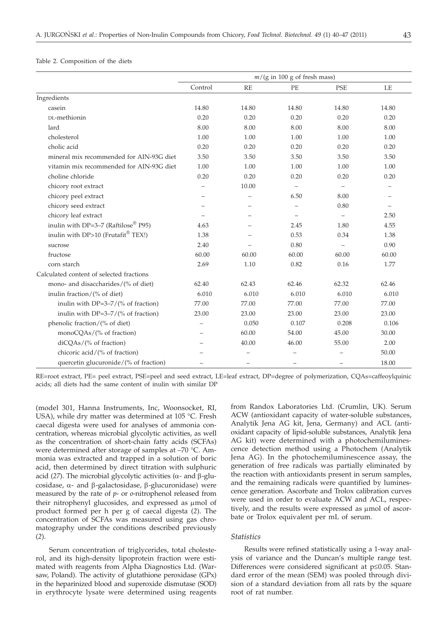## Table 2. Composition of the diets

|                                          | $m/(g \text{ in } 100 \text{ g of fresh mass})$ |       |          |                          |       |
|------------------------------------------|-------------------------------------------------|-------|----------|--------------------------|-------|
|                                          | Control                                         | RE    | PE       | <b>PSE</b>               | LE    |
| Ingredients                              |                                                 |       |          |                          |       |
| casein                                   | 14.80                                           | 14.80 | 14.80    | 14.80                    | 14.80 |
| DL-methionin                             | 0.20                                            | 0.20  | 0.20     | 0.20                     | 0.20  |
| lard                                     | 8.00                                            | 8.00  | 8.00     | 8.00                     | 8.00  |
| cholesterol                              | 1.00                                            | 1.00  | 1.00     | 1.00                     | 1.00  |
| cholic acid                              | 0.20                                            | 0.20  | 0.20     | 0.20                     | 0.20  |
| mineral mix recommended for AIN-93G diet | 3.50                                            | 3.50  | 3.50     | 3.50                     | 3.50  |
| vitamin mix recommended for AIN-93G diet | 1.00                                            | 1.00  | 1.00     | 1.00                     | 1.00  |
| choline chloride                         | 0.20                                            | 0.20  | 0.20     | 0.20                     | 0.20  |
| chicory root extract                     | $\overline{\phantom{0}}$                        | 10.00 |          |                          |       |
| chicory peel extract                     |                                                 |       | 6.50     | 8.00                     |       |
| chicory seed extract                     |                                                 |       |          | 0.80                     |       |
| chicory leaf extract                     |                                                 |       | $\equiv$ | $\qquad \qquad -$        | 2.50  |
| inulin with DP=3-7 (Raftilose® P95)      | 4.63                                            |       | 2.45     | 1.80                     | 4.55  |
| inulin with DP>10 (Frutafit® TEX!)       | 1.38                                            |       | 0.53     | 0.34                     | 1.38  |
| sucrose                                  | 2.40                                            |       | 0.80     | $\overline{\phantom{m}}$ | 0.90  |
| fructose                                 | 60.00                                           | 60.00 | 60.00    | 60.00                    | 60.00 |
| corn starch                              | 2.69                                            | 1.10  | 0.82     | 0.16                     | 1.77  |
| Calculated content of selected fractions |                                                 |       |          |                          |       |
| mono- and disaccharides/(% of diet)      | 62.40                                           | 62.43 | 62.46    | 62.32                    | 62.46 |
| inulin fraction/ $(\%$ of diet)          | 6.010                                           | 6.010 | 6.010    | 6.010                    | 6.010 |
| inulin with $DP=3-7/(%$ of fraction)     | 77.00                                           | 77.00 | 77.00    | 77.00                    | 77.00 |
| inulin with $DP=3-7/(%$ of fraction)     | 23.00                                           | 23.00 | 23.00    | 23.00                    | 23.00 |
| phenolic fraction/(% of diet)            |                                                 | 0.050 | 0.107    | 0.208                    | 0.106 |
| monoCQAs/(% of fraction)                 |                                                 | 60.00 | 54.00    | 45.00                    | 30.00 |
| diCQAs/(% of fraction)                   |                                                 | 40.00 | 46.00    | 55.00                    | 2.00  |
| chicoric acid/(% of fraction)            |                                                 |       |          |                          | 50.00 |
| quercetin glucuronide/(% of fraction)    |                                                 |       |          |                          | 18.00 |

RE=root extract, PE= peel extract, PSE=peel and seed extract, LE=leaf extract, DP=degree of polymerization, CQAs=caffeoylquinic acids; all diets had the same content of inulin with similar DP

(model 301, Hanna Instruments, Inc, Woonsocket, RI, USA), while dry matter was determined at 105 °C. Fresh caecal digesta were used for analyses of ammonia concentration, whereas microbial glycolytic activities, as well as the concentration of short-chain fatty acids (SCFAs) were determined after storage of samples at –70 °C. Ammonia was extracted and trapped in a solution of boric acid, then determined by direct titration with sulphuric acid (27). The microbial glycolytic activities ( $\alpha$ - and  $\beta$ -glucosidase,  $\alpha$ - and  $\beta$ -galactosidase,  $\beta$ -glucuronidase) were measured by the rate of *p*- or *o*-nitrophenol released from their nitrophenyl glucosides, and expressed as  $\mu$ mol of product formed per h per g of caecal digesta (*2*). The concentration of SCFAs was measured using gas chromatography under the conditions described previously (*2*).

Serum concentration of triglycerides, total cholesterol, and its high-density lipoprotein fraction were estimated with reagents from Alpha Diagnostics Ltd. (Warsaw, Poland). The activity of glutathione peroxidase (GPx) in the heparinized blood and superoxide dismutase (SOD) in erythrocyte lysate were determined using reagents

from Randox Laboratories Ltd. (Crumlin, UK). Serum ACW (antioxidant capacity of water-soluble substances, Analytik Jena AG kit, Jena, Germany) and ACL (antioxidant capacity of lipid-soluble substances, Analytik Jena AG kit) were determined with a photochemiluminescence detection method using a Photochem (Analytik Jena AG). In the photochemiluminescence assay, the generation of free radicals was partially eliminated by the reaction with antioxidants present in serum samples, and the remaining radicals were quantified by luminescence generation. Ascorbate and Trolox calibration curves were used in order to evaluate ACW and ACL, respectively, and the results were expressed as µmol of ascorbate or Trolox equivalent per mL of serum.

## *Statistics*

Results were refined statistically using a 1-way analysis of variance and the Duncan's multiple range test. Differences were considered significant at  $p \leq 0.05$ . Standard error of the mean (SEM) was pooled through division of a standard deviation from all rats by the square root of rat number.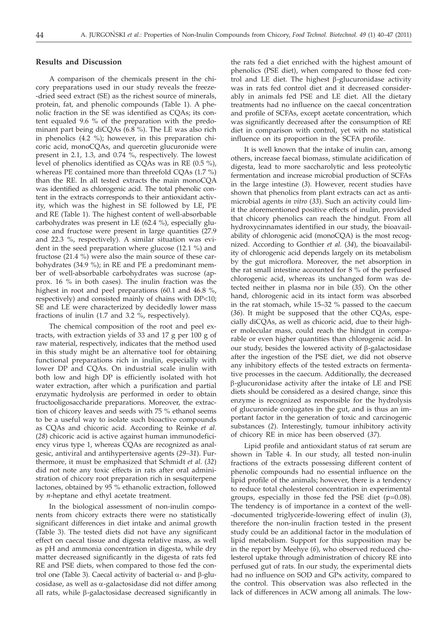# **Results and Discussion**

A comparison of the chemicals present in the chicory preparations used in our study reveals the freeze- -dried seed extract (SE) as the richest source of minerals, protein, fat, and phenolic compounds (Table 1). A phenolic fraction in the SE was identified as CQAs; its content equaled 9.6 % of the preparation with the predominant part being diCQAs  $(6.8\%)$ . The LE was also rich in phenolics (4.2 %); however, in this preparation chicoric acid, monoCQAs, and quercetin glucuronide were present in 2.1, 1.3, and 0.74 %, respectively. The lowest level of phenolics identified as CQAs was in RE (0.5 %), whereas PE contained more than threefold CQAs (1.7 %) than the RE. In all tested extracts the main monoCQA was identified as chlorogenic acid. The total phenolic content in the extracts corresponds to their antioxidant activity, which was the highest in SE followed by LE, PE and RE (Table 1). The highest content of well-absorbable carbohydrates was present in LE (62.4 %), especially glucose and fructose were present in large quantities (27.9 and 22.3 %, respectively). A similar situation was evident in the seed preparation where glucose (12.1 %) and fructose (21.4 %) were also the main source of these carbohydrates (34.9 %); in RE and PE a predominant member of well-absorbable carbohydrates was sucrose (approx. 16 % in both cases). The inulin fraction was the highest in root and peel preparations (60.1 and 46.8 %, respectively) and consisted mainly of chains with DP<10; SE and LE were characterized by decidedly lower mass fractions of inulin (1.7 and 3.2 %, respectively).

The chemical composition of the root and peel extracts, with extraction yields of 33 and 17 g per 100 g of raw material, respectively, indicates that the method used in this study might be an alternative tool for obtaining functional preparations rich in inulin, especially with lower DP and CQAs. On industrial scale inulin with both low and high DP is efficiently isolated with hot water extraction, after which a purification and partial enzymatic hydrolysis are performed in order to obtain fructooligosaccharide preparations. Moreover, the extraction of chicory leaves and seeds with 75 % ethanol seems to be a useful way to isolate such bioactive compounds as CQAs and chicoric acid. According to Reinke *et al.* (*28*) chicoric acid is active against human immunodeficiency virus type 1, whereas CQAs are recognized as analgesic, antiviral and antihypertensive agents (*29–31*). Furthermore, it must be emphasized that Schmidt *et al.* (*32*) did not note any toxic effects in rats after oral administration of chicory root preparation rich in sesquiterpene lactones, obtained by 95 % ethanolic extraction, followed by *n*-heptane and ethyl acetate treatment.

In the biological assessment of non-inulin components from chicory extracts there were no statistically significant differences in diet intake and animal growth (Table 3). The tested diets did not have any significant effect on caecal tissue and digesta relative mass, as well as pH and ammonia concentration in digesta, while dry matter decreased significantly in the digesta of rats fed RE and PSE diets, when compared to those fed the control one (Table 3). Caecal activity of bacterial  $\alpha$ - and  $\beta$ -glucosidase, as well as  $\alpha$ -galactosidase did not differ among all rats, while  $\beta$ -galactosidase decreased significantly in the rats fed a diet enriched with the highest amount of phenolics (PSE diet), when compared to those fed control and LE diet. The highest  $\beta$ -glucuronidase activity was in rats fed control diet and it decreased considerably in animals fed PSE and LE diet. All the dietary treatments had no influence on the caecal concentration and profile of SCFAs, except acetate concentration, which was significantly decreased after the consumption of RE diet in comparison with control, yet with no statistical influence on its proportion in the SCFA profile.

It is well known that the intake of inulin can, among others, increase faecal biomass, stimulate acidification of digesta, lead to more saccharolytic and less proteolytic fermentation and increase microbial production of SCFAs in the large intestine (*3*). However, recent studies have shown that phenolics from plant extracts can act as antimicrobial agents *in vitro* (*33*). Such an activity could limit the aforementioned positive effects of inulin, provided that chicory phenolics can reach the hindgut. From all hydroxycinnamates identified in our study, the bioavailability of chlorogenic acid (monoCQA) is the most recognized. According to Gonthier *et al.* (*34*), the bioavailability of chlorogenic acid depends largely on its metabolism by the gut microflora. Moreover, the net absorption in the rat small intestine accounted for 8 % of the perfused chlorogenic acid, whereas its unchanged form was detected neither in plasma nor in bile (*35*). On the other hand, chlorogenic acid in its intact form was absorbed in the rat stomach, while 15–32 % passed to the caecum (*36*). It might be supposed that the other CQAs, especially diCQAs, as well as chicoric acid, due to their higher molecular mass, could reach the hindgut in comparable or even higher quantities than chlorogenic acid. In our study, besides the lowered activity of  $\beta$ -galactosidase after the ingestion of the PSE diet, we did not observe any inhibitory effects of the tested extracts on fermentative processes in the caecum. Additionally, the decreased b-glucuronidase activity after the intake of LE and PSE diets should be considered as a desired change, since this enzyme is recognized as responsible for the hydrolysis of glucuronide conjugates in the gut, and is thus an important factor in the generation of toxic and carcinogenic substances (*2*). Interestingly, tumour inhibitory activity of chicory RE in mice has been observed (*37*).

Lipid profile and antioxidant status of rat serum are shown in Table 4. In our study, all tested non-inulin fractions of the extracts possessing different content of phenolic compounds had no essential influence on the lipid profile of the animals; however, there is a tendency to reduce total cholesterol concentration in experimental groups, especially in those fed the PSE diet (p=0.08). The tendency is of importance in a context of the well- -documented triglyceride-lowering effect of inulin (*3*), therefore the non-inulin fraction tested in the present study could be an additional factor in the modulation of lipid metabolism. Support for this supposition may be in the report by Meehye (*6*), who observed reduced cholesterol uptake through administration of chicory RE into perfused gut of rats. In our study, the experimental diets had no influence on SOD and GPx activity, compared to the control. This observation was also reflected in the lack of differences in ACW among all animals. The low-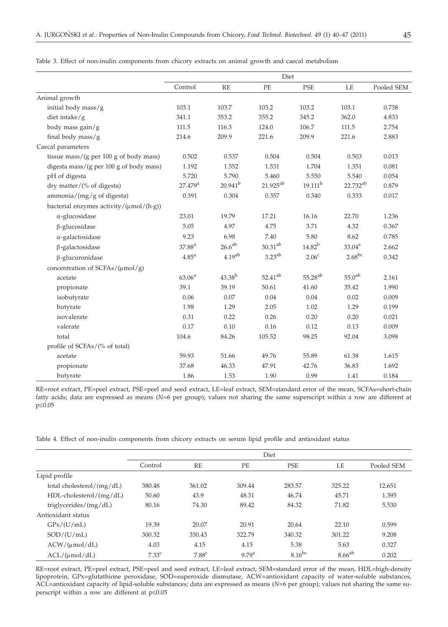|                                                                         | Diet                |                    |                      |                     |                      |            |
|-------------------------------------------------------------------------|---------------------|--------------------|----------------------|---------------------|----------------------|------------|
|                                                                         | Control             | RE                 | PE                   | <b>PSE</b>          | LE                   | Pooled SEM |
| Animal growth                                                           |                     |                    |                      |                     |                      |            |
| initial body mass/g                                                     | 103.1               | 103.7              | 103.2                | 103.2               | 103.1                | 0.738      |
| diet intake/g                                                           | 341.1               | 353.2              | 355.2                | 345.2               | 362.0                | 4.833      |
| body mass gain/g                                                        | 111.5               | 116.3              | 124.0                | 106.7               | 111.5                | 2.754      |
| final body mass/ $g$                                                    | 214.6               | 209.9              | 221.6                | 209.9               | 221.6                | 2.883      |
| Caecal parameters                                                       |                     |                    |                      |                     |                      |            |
| tissue mass/(g per 100 g of body mass)                                  | 0.502               | 0.537              | 0.504                | 0.504               | 0.503                | 0.013      |
| digesta mass/(g per 100 g of body mass)                                 | 1.192               | 1.552              | 1.531                | 1.704               | 1.351                | 0.081      |
| pH of digesta                                                           | 5.720               | 5.790              | 5.460                | 5.550               | 5.540                | 0.054      |
| dry matter/ $(\%$ of digesta)                                           | 27.479 <sup>a</sup> | $20.941^{b}$       | 21.925 <sup>ab</sup> | $19.111^{b}$        | 22.732 <sup>ab</sup> | 0.879      |
| ammonia/(mg/g of digesta)                                               | 0.391               | 0.304              | 0.357                | 0.340               | 0.333                | 0.017      |
| bacterial enzymes activity/ $(\mu \text{mol}/(\text{h}\cdot \text{g}))$ |                     |                    |                      |                     |                      |            |
| $\alpha$ -glucosidase                                                   | 23.01               | 19.79              | 17.21                | 16.16               | 22.70                | 1.236      |
| $\beta$ -glucosidase                                                    | 5.05                | 4.97               | 4.75                 | 3.71                | 4.32                 | 0.367      |
| $\alpha$ -galactosidase                                                 | 9.23                | 6.98               | 7.40                 | 5.80                | 8.62                 | 0.785      |
| $\beta$ -galactosidase                                                  | $37.88^{a}$         | $26.6^{ab}$        | $30.31^{ab}$         | $14.82^{b}$         | $33.04^{\rm a}$      | 2.662      |
| $\beta$ -glucuronidase                                                  | $4.85^{\mathrm{a}}$ | 4.19 <sup>ab</sup> | $3.23^{ab}$          | 2.06 <sup>c</sup>   | $2.68^{bc}$          | 0.342      |
| concentration of SCFAs/ $(\mu \text{mol}/g)$                            |                     |                    |                      |                     |                      |            |
| acetate                                                                 | 63.06 <sup>a</sup>  | $43.38^{b}$        | $52.41^{ab}$         | 55.28 <sup>ab</sup> | 55.0 <sup>ab</sup>   | 2.161      |
| propionate                                                              | 39.1                | 39.19              | 50.61                | 41.60               | 35.42                | 1.990      |
| isobutyrate                                                             | 0.06                | 0.07               | 0.04                 | 0.04                | 0.02                 | 0.009      |
| butyrate                                                                | 1.98                | 1.29               | 2.05                 | 1.02                | 1.29                 | 0.199      |
|                                                                         |                     |                    |                      |                     |                      |            |

Table 3. Effect of non-inulin components from chicory extracts on animal growth and caecal metabolism

RE=root extract, PE=peel extract, PSE=peel and seed extract, LE=leaf extract, SEM=standard error of the mean, SCFAs=short-chain fatty acids; data are expressed as means ( $N=6$  per group); values not sharing the same superscript within a row are different at  $p \le 0.05$ 

isovalerate 0.31 0.22 0.26 0.20 0.20 0.021 valerate 0.17 0.10 0.16 0.12 0.13 0.009 total 104.6 84.26 105.52 98.25 92.04 3.098

acetate 59.93 51.66 49.76 55.89 61.38 1.615 propionate 37.68 46.33 47.91 42.76 36.83 1.692 butyrate 1.86 1.53 1.90 0.99 1.41 0.184

Table 4. Effect of non-inulin components from chicory extracts on serum lipid profile and antioxidant status

profile of SCFAs/(% of total)

|                              | Diet              |                   |                   |             |             |            |
|------------------------------|-------------------|-------------------|-------------------|-------------|-------------|------------|
|                              | Control           | <b>RE</b>         | PE                | <b>PSE</b>  | LE          | Pooled SEM |
| Lipid profile                |                   |                   |                   |             |             |            |
| total cholesterol/ $(mg/dL)$ | 380.48            | 361.02            | 309.44            | 283.57      | 325.22      | 12.651     |
| $HDL-cholesterol/(mg/dL)$    | 50.60             | 43.9              | 48.31             | 46.74       | 45.71       | 1.395      |
| triglycerides/ $(mg/dL)$     | 80.16             | 74.30             | 89.42             | 84.32       | 71.82       | 5.530      |
| Antioxidant status           |                   |                   |                   |             |             |            |
| GPx/(U/mL)                   | 19.39             | 20.07             | 20.91             | 20.64       | 22.10       | 0.599      |
| SOD/(U/mL)                   | 300.32            | 330.43            | 322.79            | 340.32      | 301.22      | 9.208      |
| ACW/(µmol/dL)                | 4.03              | 4.15              | 4.15              | 5.38        | 5.63        | 0.327      |
| ACL/(µmol/dL)                | 7.33 <sup>c</sup> | 7.88 <sup>c</sup> | 9.79 <sup>a</sup> | $8.16^{bc}$ | $8.66^{ab}$ | 0.202      |

RE=root extract, PE=peel extract, PSE=peel and seed extract, LE=leaf extract, SEM=standard error of the mean, HDL=high-density lipoprotein, GPx=glutathione peroxidase, SOD=superoxide dismutase, ACW=antioxidant capacity of water-soluble substances, ACL=antioxidant capacity of lipid-soluble substances; data are expressed as means (*N*=6 per group); values not sharing the same superscript within a row are different at  $p \le 0.05$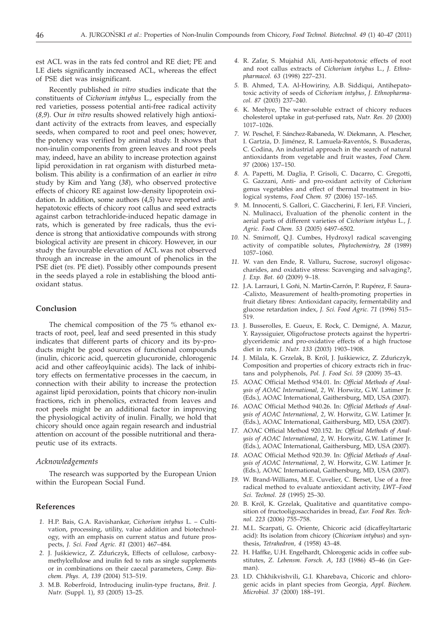est ACL was in the rats fed control and RE diet; PE and LE diets significantly increased ACL, whereas the effect of PSE diet was insignificant.

Recently published *in vitro* studies indicate that the constituents of *Cichorium intybus* L., especially from the red varieties, possess potential anti-free radical activity (*8,9*). Our *in vitro* results showed relatively high antioxidant activity of the extracts from leaves, and especially seeds, when compared to root and peel ones; however, the potency was verified by animal study. It shows that non-inulin components from green leaves and root peels may, indeed, have an ability to increase protection against lipid peroxidation in rat organism with disturbed metabolism. This ability is a confirmation of an earlier *in vitro* study by Kim and Yang (*38*), who observed protective effects of chicory RE against low-density lipoprotein oxidation. In addition, some authors (*4,5*) have reported antihepatotoxic effects of chicory root callus and seed extracts against carbon tetrachloride-induced hepatic damage in rats, which is generated by free radicals, thus the evidence is strong that antioxidative compounds with strong biological activity are present in chicory. However, in our study the favourable elevation of ACL was not observed through an increase in the amount of phenolics in the PSE diet (*vs.* PE diet). Possibly other compounds present in the seeds played a role in establishing the blood antioxidant status.

## **Conclusion**

The chemical composition of the 75 % ethanol extracts of root, peel, leaf and seed presented in this study indicates that different parts of chicory and its by-products might be good sources of functional compounds (inulin, chicoric acid, quercetin glucuronide, chlorogenic acid and other caffeoylquinic acids). The lack of inhibitory effects on fermentative processes in the caecum, in connection with their ability to increase the protection against lipid peroxidation, points that chicory non-inulin fractions, rich in phenolics, extracted from leaves and root peels might be an additional factor in improving the physiological activity of inulin. Finally, we hold that chicory should once again regain research and industrial attention on account of the possible nutritional and therapeutic use of its extracts.

### *Acknowledgements*

The research was supported by the European Union within the European Social Fund.

# **References**

- *1.* H.P. Bais, G.A. Ravishankar, *Cichorium intybus* L. Cultivation, processing, utility, value addition and biotechnology, with an emphasis on current status and future pros-<br>pects, *J. Sci. Food Agric. 81* (2001) 467–484.<br>2. J. Juskiewicz, Z. Zduńczyk, Effects of cellulose, carboxypects, *J. Sci. Food Agric. 81* (2001) 467–484.
- methylcellulose and inulin fed to rats as single supplements or in combinations on their caecal parameters, *Comp. Biochem. Phys. A, 139* (2004) 513–519.
- *3.* M.B. Roberfroid, Introducing inulin-type fructans, *Brit. J. Nutr.* (Suppl. 1), *93* (2005) 13–25.
- *4.* R. Zafar, S. Mujahid Ali, Anti-hepatotoxic effects of root and root callus extracts of *Cichorium intybus* L., *J. Ethnopharmacol. 63* (1998) 227–231.
- *5.* B. Ahmed, T.A. Al-Howiriny, A.B. Siddiqui, Antihepatotoxic activity of seeds of *Cichorium intybus*, *J. Ethnopharmacol. 87* (2003) 237–240.
- *6.* K. Meehye, The water-soluble extract of chicory reduces cholesterol uptake in gut-perfused rats, *Nutr. Res. 20* (2000) 1017–1026.
- *7.* W. Peschel, F. Sánchez-Rabaneda, W. Diekmann, A. Plescher, I. Gartzia, D. Jiménez, R. Lamuela-Raventós, S. Buxaderas, C. Codina, An industrial approach in the search of natural antioxidants from vegetable and fruit wastes, *Food Chem. 97* (2006) 137–150.
- *8.* A. Papetti, M. Daglia, P. Grisoli, C. Dacarro, C. Gregotti, G. Gazzani, Anti- and pro-oxidant activity of *Cichorium* genus vegetables and effect of thermal treatment in biological systems, *Food Chem. 97* (2006) 157–165.
- *9.* M. Innocenti, S. Gallori, C. Giaccherini, F. Ieri, F.F. Vincieri, N. Mulinacci, Evaluation of the phenolic content in the aerial parts of different varieties of *Cichorium intybus* L., *J. Agric. Food Chem. 53* (2005) 6497–6502.
- *10.* N. Smirnoff, Q.J. Cumbes, Hydroxyl radical scavenging activity of compatible solutes, *Phytochemistry*, *28* (1989) 1057–1060.
- *11.* W. van den Ende, R. Valluru, Sucrose, sucrosyl oligosaccharides, and oxidative stress: Scavenging and salvaging?, *J. Exp. Bot. 60* (2009) 9–18.
- *12.* J.A. Larrauri, I. Goñi, N. Martin-Carrón, P. Rupérez, F. Saura- -Calixto, Measurement of health-promoting properties in fruit dietary fibres: Antioxidant capacity, fermentability and glucose retardation index, *J. Sci. Food Agric. 71* (1996) 515– 519.
- *13.* J. Busserolles, E. Gueux, E. Rock, C. Demigné, A. Mazur, Y. Rayssiguier, Oligofructose protects against the hypertriglyceridemic and pro-oxidative effects of a high fructose diet in rats, *J. Nutr. 133* (2003) 1903–1908.
- 14. J. Milala, K. Grzelak, B. Król, J. Juśkiewicz, Z. Zduńczyk, Composition and properties of chicory extracts rich in fructans and polyphenols, *Pol. J. Food Sci. 59* (2009) 35–43.
- *15.* AOAC Official Method 934.01. In: *Official Methods of Analysis of AOAC International, 2*, W. Horwitz, G.W. Latimer Jr. (Eds.), AOAC International, Gaithersburg, MD, USA (2007).
- *16.* AOAC Official Method 940.26. In: *Official Methods of Analysis of AOAC International, 2*, W. Horwitz, G.W. Latimer Jr. (Eds.), AOAC International, Gaithersburg, MD, USA (2007).
- *17.* AOAC Official Method 920.152. In: *Official Methods of Analysis of AOAC International, 2*, W. Horwitz, G.W. Latimer Jr. (Eds.), AOAC International, Gaithersburg, MD, USA (2007).
- *18.* AOAC Official Method 920.39. In: *Official Methods of Analysis of AOAC International, 2*, W. Horwitz, G.W. Latimer Jr. (Eds.), AOAC International, Gaithersburg, MD, USA (2007).
- *19.* W. Brand-Williams, M.E. Cuvelier, C. Berset, Use of a free radical method to evaluate antioxidant activity, *LWT–Food Sci. Technol. 28* (1995) 25–30.
- *20.* B. Król, K. Grzelak, Qualitative and quantitative composition of fructooligosaccharides in bread, *Eur. Food Res. Technol. 223* (2006) 755–758.
- *21.* M.L. Scarpati, G. Oriente, Chicoric acid (dicaffeyltartaric acid): Its isolation from chicory (*Chicorium intybus*) and synthesis, *Tetrahedron, 4* (1958) 43–48.
- *22.* H. Haffke, U.H. Engelhardt, Chlorogenic acids in coffee substitutes, *Z. Lebensm. Forsch. A*, *183* (1986) 45–46 (in German).
- *23.* I.D. Chkhikvishvili, G.I. Kharebava, Chicoric and chlorogenic acids in plant species from Georgia, *Appl. Biochem. Microbiol. 37* (2000) 188–191.